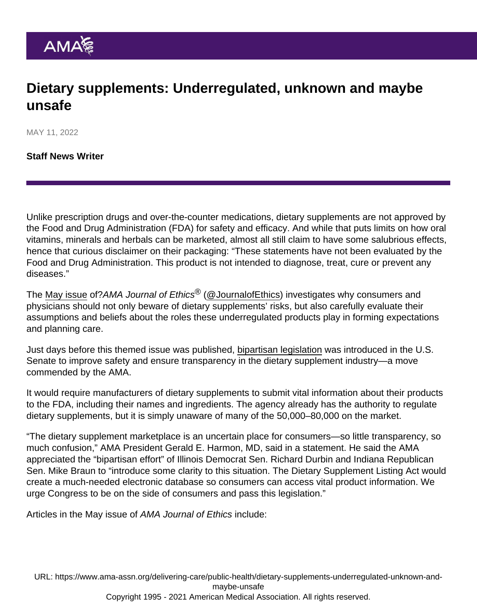## Dietary supplements: Underregulated, unknown and maybe unsafe

MAY 11, 2022

[Staff News Writer](https://www.ama-assn.org/news-leadership-viewpoints/authors-news-leadership-viewpoints/staff-news-writer)

Unlike prescription drugs and over-the-counter medications, dietary supplements are not approved by the Food and Drug Administration (FDA) for safety and efficacy. And while that puts limits on how oral vitamins, minerals and herbals can be marketed, almost all still claim to have some salubrious effects, hence that curious disclaimer on their packaging: "These statements have not been evaluated by the Food and Drug Administration. This product is not intended to diagnose, treat, cure or prevent any diseases."

The [May issue](https://journalofethics.ama-assn.org/issue/unregulated-supplements) of?AMA Journal of Ethics<sup>®</sup> [\(@JournalofEthics\)](https://twitter.com/JournalOfEthics) investigates why consumers and physicians should not only beware of dietary supplements' risks, but also carefully evaluate their assumptions and beliefs about the roles these underregulated products play in forming expectations and planning care.

Just days before this themed issue was published, [bipartisan legislation](https://www.durbin.senate.gov/newsroom/press-releases/durbin-braun-introduce-legislation-to-improve-safety-and-ensure-transparency-of-dietary-supplement-industry) was introduced in the U.S. Senate to improve safety and ensure transparency in the dietary supplement industry—a move commended by the AMA.

It would require manufacturers of dietary supplements to submit vital information about their products to the FDA, including their names and ingredients. The agency already has the authority to regulate dietary supplements, but it is simply unaware of many of the 50,000–80,000 on the market.

"The dietary supplement marketplace is an uncertain place for consumers—so little transparency, so much confusion," AMA President [Gerald E. Harmon, MD](https://www.ama-assn.org/about/board-trustees/gerald-e-harmon-md), said in a statement. He said the AMA appreciated the "bipartisan effort" of Illinois Democrat Sen. Richard Durbin and Indiana Republican Sen. Mike Braun to "introduce some clarity to this situation. The Dietary Supplement Listing Act would create a much-needed electronic database so consumers can access vital product information. We urge Congress to be on the side of consumers and pass this legislation."

Articles in the May issue of AMA Journal of Ethics include:

URL: [https://www.ama-assn.org/delivering-care/public-health/dietary-supplements-underregulated-unknown-and](https://www.ama-assn.org/delivering-care/public-health/dietary-supplements-underregulated-unknown-and-maybe-unsafe)[maybe-unsafe](https://www.ama-assn.org/delivering-care/public-health/dietary-supplements-underregulated-unknown-and-maybe-unsafe) Copyright 1995 - 2021 American Medical Association. All rights reserved.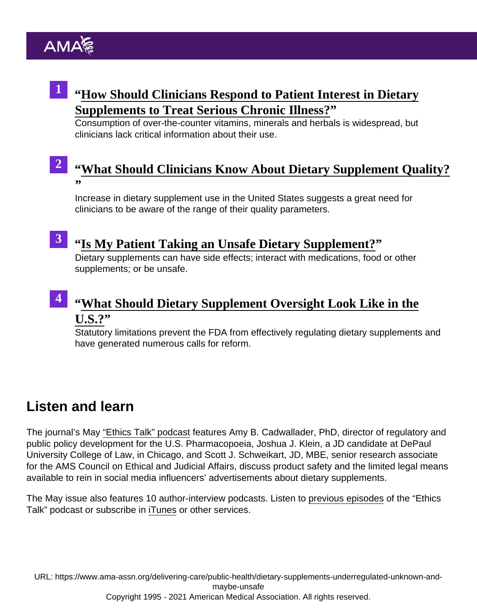## <sup>1</sup> "[How Should Clinicians Respond to Patient Interest in Dietar](https://journalofethics.ama-assn.org/article/how-should-clinicians-respond-patient-interest-dietary-supplements-treat-serious-chronic-illness/2022-05)y [Supplements to Treat Serious Chronic Illness](https://journalofethics.ama-assn.org/article/how-should-clinicians-respond-patient-interest-dietary-supplements-treat-serious-chronic-illness/2022-05)<sup>?</sup>

Consumption of over-the-counter vitamins, minerals and herbals is widespread, but clinicians lack critical information about their use.

#### " [What Should Clinicians Know About Dietary Supplement Quality?](https://journalofethics.ama-assn.org/article/what-should-clinicians-know-about-dietary-supplement-quality/2022-05) " 2

Increase in dietary supplement use in the United States suggests a great need for clinicians to be aware of the range of their quality parameters.

3

### " [Is My Patient Taking an Unsafe Dietary Supplement](https://journalofethics.ama-assn.org/article/my-patient-taking-unsafe-dietary-supplement/2022-05)?

Dietary supplements can have side effects; interact with medications, food or other supplements; or be unsafe.

#### " [What Should Dietary Supplement Oversight Look Like in the](https://journalofethics.ama-assn.org/article/what-should-dietary-supplement-oversight-look-us/2022-05)  $U.S.$ ?" 4

Statutory limitations prevent the FDA from effectively regulating dietary supplements and have generated numerous calls for reform.

## Listen and learn

The journal's May ["Ethics Talk" podcast](https://journalofethics.ama-assn.org/podcast/ethics-talk-how-us-census-left-latinx-americans-behind) features Amy B. Cadwallader, PhD, director of regulatory and public policy development for the U.S. Pharmacopoeia, Joshua J. Klein, a JD candidate at DePaul University College of Law, in Chicago, and Scott J. Schweikart, JD, MBE, senior research associate for the AMS Council on Ethical and Judicial Affairs, discuss product safety and the limited legal means available to rein in social media influencers' advertisements about dietary supplements.

The May issue also features 10 author-interview podcasts. Listen to [previous episodes](https://journalofethics.ama-assn.org/podcasts) of the "Ethics Talk" podcast or subscribe in [iTunes](https://itunes.apple.com/us/podcast/ethics-talk/id1431906161?mt=2) or other services.

URL: [https://www.ama-assn.org/delivering-care/public-health/dietary-supplements-underregulated-unknown-and](https://www.ama-assn.org/delivering-care/public-health/dietary-supplements-underregulated-unknown-and-maybe-unsafe)[maybe-unsafe](https://www.ama-assn.org/delivering-care/public-health/dietary-supplements-underregulated-unknown-and-maybe-unsafe) Copyright 1995 - 2021 American Medical Association. All rights reserved.